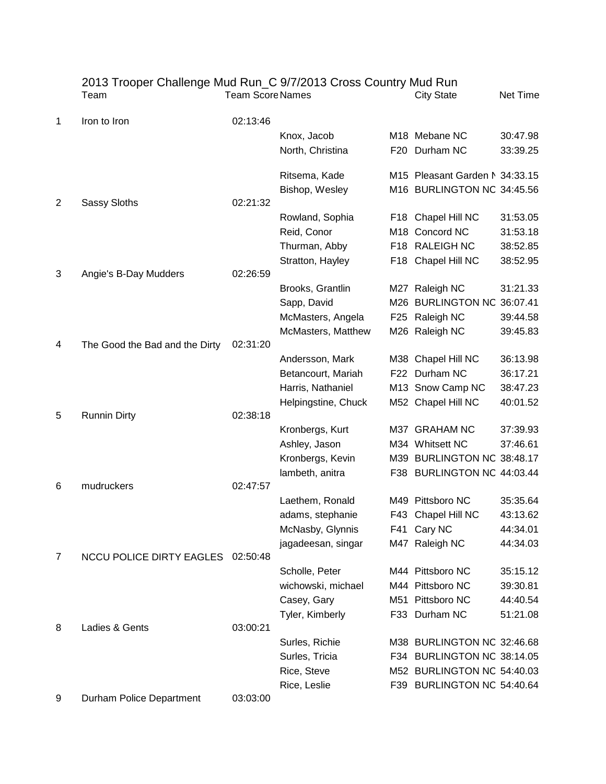|   | 2013 Trooper Challenge Mud Run_C 9/7/2013 Cross Country Mud Run<br>Team | <b>Team Score Names</b> |                     | <b>City State</b>              | Net Time |
|---|-------------------------------------------------------------------------|-------------------------|---------------------|--------------------------------|----------|
| 1 | Iron to Iron                                                            | 02:13:46                |                     |                                |          |
|   |                                                                         |                         | Knox, Jacob         | M <sub>18</sub> Mebane NC      | 30:47.98 |
|   |                                                                         |                         | North, Christina    | F20 Durham NC                  | 33:39.25 |
|   |                                                                         |                         | Ritsema, Kade       | M15 Pleasant Garden N 34:33.15 |          |
|   |                                                                         |                         | Bishop, Wesley      | M16 BURLINGTON NC 34:45.56     |          |
| 2 | Sassy Sloths                                                            | 02:21:32                |                     |                                |          |
|   |                                                                         |                         | Rowland, Sophia     | F18 Chapel Hill NC             | 31:53.05 |
|   |                                                                         |                         | Reid, Conor         | M18 Concord NC                 | 31:53.18 |
|   |                                                                         |                         | Thurman, Abby       | F18 RALEIGH NC                 | 38:52.85 |
|   |                                                                         |                         | Stratton, Hayley    | F18 Chapel Hill NC             | 38:52.95 |
| 3 | Angie's B-Day Mudders                                                   | 02:26:59                |                     |                                |          |
|   |                                                                         |                         | Brooks, Grantlin    | M27 Raleigh NC                 | 31:21.33 |
|   |                                                                         |                         | Sapp, David         | M26 BURLINGTON NC 36:07.41     |          |
|   |                                                                         |                         | McMasters, Angela   | F25 Raleigh NC                 | 39:44.58 |
| 4 | The Good the Bad and the Dirty                                          | 02:31:20                | McMasters, Matthew  | M26 Raleigh NC                 | 39:45.83 |
|   |                                                                         |                         | Andersson, Mark     | M38 Chapel Hill NC             | 36:13.98 |
|   |                                                                         |                         | Betancourt, Mariah  | F22 Durham NC                  | 36:17.21 |
|   |                                                                         |                         | Harris, Nathaniel   | M13 Snow Camp NC               | 38:47.23 |
|   |                                                                         |                         | Helpingstine, Chuck | M52 Chapel Hill NC             | 40:01.52 |
| 5 | <b>Runnin Dirty</b>                                                     | 02:38:18                |                     |                                |          |
|   |                                                                         |                         | Kronbergs, Kurt     | M37 GRAHAM NC                  | 37:39.93 |
|   |                                                                         |                         | Ashley, Jason       | M34 Whitsett NC                | 37:46.61 |
|   |                                                                         |                         | Kronbergs, Kevin    | M39 BURLINGTON NC 38:48.17     |          |
|   |                                                                         |                         | lambeth, anitra     | F38 BURLINGTON NC 44:03.44     |          |
| 6 | mudruckers                                                              | 02:47:57                |                     |                                |          |
|   |                                                                         |                         | Laethem, Ronald     | M49 Pittsboro NC               | 35:35.64 |
|   |                                                                         |                         | adams, stephanie    | F43 Chapel Hill NC             | 43:13.62 |
|   |                                                                         |                         | McNasby, Glynnis    | F41 Cary NC                    | 44:34.01 |
|   |                                                                         |                         | jagadeesan, singar  | M47 Raleigh NC                 | 44:34.03 |
| 7 | <b>NCCU POLICE DIRTY EAGLES</b>                                         | 02:50:48                |                     |                                |          |
|   |                                                                         |                         | Scholle, Peter      | M44 Pittsboro NC               | 35:15.12 |
|   |                                                                         |                         | wichowski, michael  | M44 Pittsboro NC               | 39:30.81 |
|   |                                                                         |                         | Casey, Gary         | M51 Pittsboro NC               | 44:40.54 |
|   |                                                                         |                         | Tyler, Kimberly     | F33 Durham NC                  | 51:21.08 |
| 8 | Ladies & Gents                                                          | 03:00:21                |                     |                                |          |
|   |                                                                         |                         | Surles, Richie      | M38 BURLINGTON NC 32:46.68     |          |
|   |                                                                         |                         | Surles, Tricia      | F34 BURLINGTON NC 38:14.05     |          |
|   |                                                                         |                         | Rice, Steve         | M52 BURLINGTON NC 54:40.03     |          |
|   |                                                                         |                         | Rice, Leslie        | F39 BURLINGTON NC 54:40.64     |          |
| 9 | Durham Police Department                                                | 03:03:00                |                     |                                |          |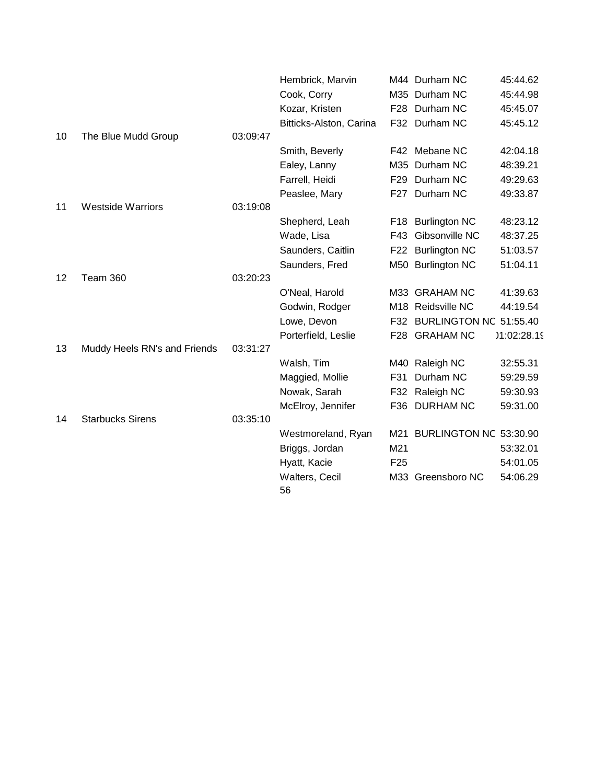|    |                              |          | Hembrick, Marvin        |                 | M44 Durham NC          | 45:44.62    |
|----|------------------------------|----------|-------------------------|-----------------|------------------------|-------------|
|    |                              |          | Cook, Corry             |                 | M35 Durham NC          | 45:44.98    |
|    |                              |          | Kozar, Kristen          | F28             | Durham NC              | 45:45.07    |
|    |                              |          | Bitticks-Alston, Carina |                 | F32 Durham NC          | 45:45.12    |
| 10 | The Blue Mudd Group          | 03:09:47 |                         |                 |                        |             |
|    |                              |          | Smith, Beverly          |                 | F42 Mebane NC          | 42:04.18    |
|    |                              |          | Ealey, Lanny            |                 | M35 Durham NC          | 48:39.21    |
|    |                              |          | Farrell, Heidi          | F <sub>29</sub> | Durham NC              | 49:29.63    |
|    |                              |          | Peaslee, Mary           | F27             | Durham NC              | 49:33.87    |
| 11 | <b>Westside Warriors</b>     | 03:19:08 |                         |                 |                        |             |
|    |                              |          | Shepherd, Leah          |                 | F18 Burlington NC      | 48:23.12    |
|    |                              |          | Wade, Lisa              | F43             | Gibsonville NC         | 48:37.25    |
|    |                              |          | Saunders, Caitlin       | F <sub>22</sub> | <b>Burlington NC</b>   | 51:03.57    |
|    |                              |          | Saunders, Fred          |                 | M50 Burlington NC      | 51:04.11    |
| 12 | Team 360                     | 03:20:23 |                         |                 |                        |             |
|    |                              |          | O'Neal, Harold          |                 | M33 GRAHAM NC          | 41:39.63    |
|    |                              |          | Godwin, Rodger          |                 | M18 Reidsville NC      | 44:19.54    |
|    |                              |          | Lowe, Devon             | F32             | BURLINGTON NC 51:55.40 |             |
|    |                              |          | Porterfield, Leslie     | F <sub>28</sub> | <b>GRAHAM NC</b>       | 11:02:28.19 |
| 13 | Muddy Heels RN's and Friends | 03:31:27 |                         |                 |                        |             |
|    |                              |          | Walsh, Tim              |                 | M40 Raleigh NC         | 32:55.31    |
|    |                              |          | Maggied, Mollie         | F31             | Durham NC              | 59:29.59    |
|    |                              |          | Nowak, Sarah            | F32             | Raleigh NC             | 59:30.93    |
|    |                              |          | McElroy, Jennifer       |                 | F36 DURHAM NC          | 59:31.00    |
| 14 | <b>Starbucks Sirens</b>      | 03:35:10 |                         |                 |                        |             |
|    |                              |          | Westmoreland, Ryan      | M21             | BURLINGTON NC 53:30.90 |             |
|    |                              |          | Briggs, Jordan          | M21             |                        | 53:32.01    |
|    |                              |          | Hyatt, Kacie            | F <sub>25</sub> |                        | 54:01.05    |
|    |                              |          | Walters, Cecil<br>56    |                 | M33 Greensboro NC      | 54:06.29    |